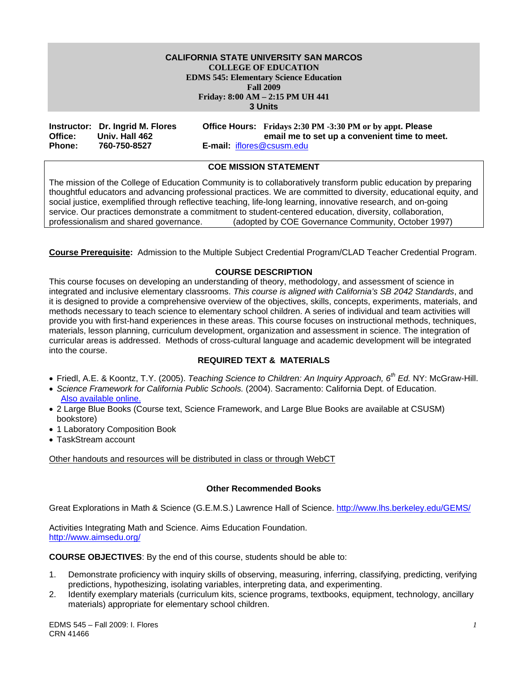#### **Friday: 8:00 AM – 2:15 PM UH 441 CALIFORNIA STATE UNIVERSITY SAN MARCOS COLLEGE OF EDUCATION EDMS 545: Elementary Science Education Fall 2009 3 Units**

|               | Instructor: Dr. Ingrid M. Flores |                                  | Office Hours: Fridays 2:30 PM -3:30 PM or by appt. Please |
|---------------|----------------------------------|----------------------------------|-----------------------------------------------------------|
| Office:       | Univ. Hall 462                   |                                  | email me to set up a convenient time to meet.             |
| <b>Phone:</b> | 760-750-8527                     | <b>E-mail: iflores@csusm.edu</b> |                                                           |

## **COE MISSION STATEMENT**

The mission of the College of Education Community is to collaboratively transform public education by preparing thoughtful educators and advancing professional practices. We are committed to diversity, educational equity, and social justice, exemplified through reflective teaching, life-long learning, innovative research, and on-going service. Our practices demonstrate a commitment to student-centered education, diversity, collaboration, professionalism and shared governance. (adopted by COE Governance Community, October 1997)

**Course Prerequisite:** Admission to the Multiple Subject Credential Program/CLAD Teacher Credential Program.

## **COURSE DESCRIPTION**

This course focuses on developing an understanding of theory, methodology, and assessment of science in integrated and inclusive elementary classrooms. *This course is aligned with California's SB 2042 Standards*, and it is designed to provide a comprehensive overview of the objectives, skills, concepts, experiments, materials, and methods necessary to teach science to elementary school children. A series of individual and team activities will provide you with first-hand experiences in these areas. This course focuses on instructional methods, techniques, materials, lesson planning, curriculum development, organization and assessment in science. The integration of curricular areas is addressed. Methods of cross-cultural language and academic development will be integrated into the course.

#### **REQUIRED TEXT & MATERIALS**

- Friedl, A.E. & Koontz, T.Y. (2005). *Teaching Science to Children: An Inquiry Approach, 6th Ed.* NY: McGraw-Hill.
- *Science Framework for California Public Schools.* (2004). Sacramento: California Dept. of Education. Also available online.
- • 2 Large Blue Books (Course text, Science Framework, and Large Blue Books are available at CSUSM) bookstore)
- 1 Laboratory Composition Book
- TaskStream account

Other handouts and resources will be distributed in class or through WebCT

#### **Other Recommended Books**

Great Explorations in Math & Science (G.E.M.S.) Lawrence Hall of Science. http://www.lhs.berkeley.edu/GEMS/

Activities Integrating Math and Science. Aims Education Foundation. http://www.aimsedu.org/

**COURSE OBJECTIVES**: By the end of this course, students should be able to:

- 1. Demonstrate proficiency with inquiry skills of observing, measuring, inferring, classifying, predicting, verifying predictions, hypothesizing, isolating variables, interpreting data, and experimenting.
- 2. Identify exemplary materials (curriculum kits, science programs, textbooks, equipment, technology, ancillary materials) appropriate for elementary school children.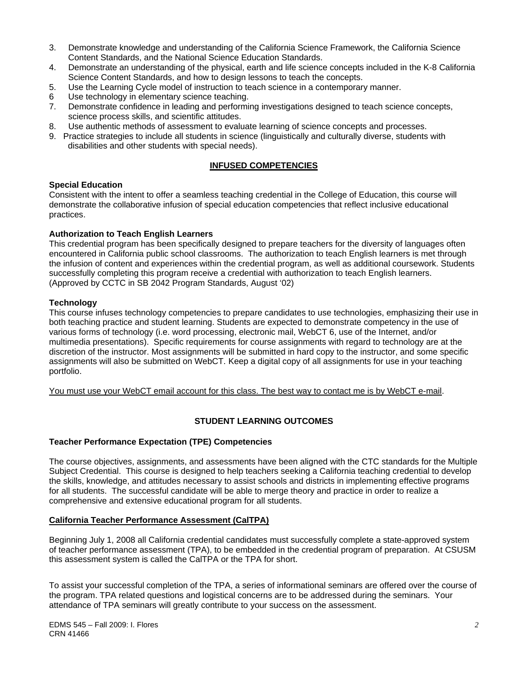- 3. Demonstrate knowledge and understanding of the California Science Framework, the California Science Content Standards, and the National Science Education Standards.
- 4. Demonstrate an understanding of the physical, earth and life science concepts included in the K-8 California Science Content Standards, and how to design lessons to teach the concepts.
- 5. Use the Learning Cycle model of instruction to teach science in a contemporary manner.
- 6 Use technology in elementary science teaching.
- 7. Demonstrate confidence in leading and performing investigations designed to teach science concepts, science process skills, and scientific attitudes.
- 8. Use authentic methods of assessment to evaluate learning of science concepts and processes.
- 9. Practice strategies to include all students in science (linguistically and culturally diverse, students with disabilities and other students with special needs).

## **INFUSED COMPETENCIES**

## **Special Education**

Consistent with the intent to offer a seamless teaching credential in the College of Education, this course will demonstrate the collaborative infusion of special education competencies that reflect inclusive educational practices.

## **Authorization to Teach English Learners**

This credential program has been specifically designed to prepare teachers for the diversity of languages often encountered in California public school classrooms. The authorization to teach English learners is met through the infusion of content and experiences within the credential program, as well as additional coursework. Students successfully completing this program receive a credential with authorization to teach English learners. (Approved by CCTC in SB 2042 Program Standards, August '02)

## **Technology**

This course infuses technology competencies to prepare candidates to use technologies, emphasizing their use in both teaching practice and student learning. Students are expected to demonstrate competency in the use of various forms of technology (i.e. word processing, electronic mail, WebCT 6, use of the Internet, and/or multimedia presentations). Specific requirements for course assignments with regard to technology are at the discretion of the instructor. Most assignments will be submitted in hard copy to the instructor, and some specific assignments will also be submitted on WebCT. Keep a digital copy of all assignments for use in your teaching portfolio.

You must use your WebCT email account for this class. The best way to contact me is by WebCT e-mail.

## **STUDENT LEARNING OUTCOMES**

#### **Teacher Performance Expectation (TPE) Competencies**

The course objectives, assignments, and assessments have been aligned with the CTC standards for the Multiple Subject Credential. This course is designed to help teachers seeking a California teaching credential to develop the skills, knowledge, and attitudes necessary to assist schools and districts in implementing effective programs for all students. The successful candidate will be able to merge theory and practice in order to realize a comprehensive and extensive educational program for all students.

#### **California Teacher Performance Assessment (CalTPA)**

Beginning July 1, 2008 all California credential candidates must successfully complete a state-approved system of teacher performance assessment (TPA), to be embedded in the credential program of preparation. At CSUSM this assessment system is called the CalTPA or the TPA for short.

To assist your successful completion of the TPA, a series of informational seminars are offered over the course of the program. TPA related questions and logistical concerns are to be addressed during the seminars. Your attendance of TPA seminars will greatly contribute to your success on the assessment.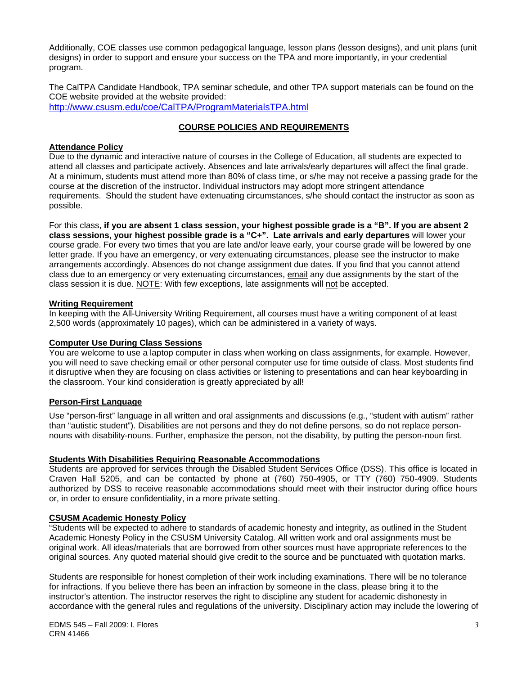Additionally, COE classes use common pedagogical language, lesson plans (lesson designs), and unit plans (unit designs) in order to support and ensure your success on the TPA and more importantly, in your credential program.

The CalTPA Candidate Handbook, TPA seminar schedule, and other TPA support materials can be found on the COE website provided at the website provided:

http://www.csusm.edu/coe/CalTPA/ProgramMaterialsTPA.html

## **COURSE POLICIES AND REQUIREMENTS**

## **Attendance Policy**

Due to the dynamic and interactive nature of courses in the College of Education, all students are expected to attend all classes and participate actively. Absences and late arrivals/early departures will affect the final grade. At a minimum, students must attend more than 80% of class time, or s/he may not receive a passing grade for the course at the discretion of the instructor. Individual instructors may adopt more stringent attendance requirements. Should the student have extenuating circumstances, s/he should contact the instructor as soon as possible.

For this class, **if you are absent 1 class session, your highest possible grade is a "B". If you are absent 2 class sessions, your highest possible grade is a "C+". Late arrivals and early departures** will lower your course grade. For every two times that you are late and/or leave early, your course grade will be lowered by one letter grade. If you have an emergency, or very extenuating circumstances, please see the instructor to make arrangements accordingly. Absences do not change assignment due dates. If you find that you cannot attend class due to an emergency or very extenuating circumstances, email any due assignments by the start of the class session it is due. NOTE: With few exceptions, late assignments will not be accepted.

#### **Writing Requirement**

In keeping with the All-University Writing Requirement, all courses must have a writing component of at least 2,500 words (approximately 10 pages), which can be administered in a variety of ways.

#### **Computer Use During Class Sessions**

You are welcome to use a laptop computer in class when working on class assignments, for example. However, you will need to save checking email or other personal computer use for time outside of class. Most students find it disruptive when they are focusing on class activities or listening to presentations and can hear keyboarding in the classroom. Your kind consideration is greatly appreciated by all!

#### **Person-First Language**

Use "person-first" language in all written and oral assignments and discussions (e.g., "student with autism" rather than "autistic student"). Disabilities are not persons and they do not define persons, so do not replace personnouns with disability-nouns. Further, emphasize the person, not the disability, by putting the person-noun first.

#### **Students With Disabilities Requiring Reasonable Accommodations**

Students are approved for services through the Disabled Student Services Office (DSS). This office is located in Craven Hall 5205, and can be contacted by phone at (760) 750-4905, or TTY (760) 750-4909. Students authorized by DSS to receive reasonable accommodations should meet with their instructor during office hours or, in order to ensure confidentiality, in a more private setting.

## **CSUSM Academic Honesty Policy**

"Students will be expected to adhere to standards of academic honesty and integrity, as outlined in the Student Academic Honesty Policy in the CSUSM University Catalog. All written work and oral assignments must be original work. All ideas/materials that are borrowed from other sources must have appropriate references to the original sources. Any quoted material should give credit to the source and be punctuated with quotation marks.

Students are responsible for honest completion of their work including examinations. There will be no tolerance for infractions. If you believe there has been an infraction by someone in the class, please bring it to the instructor's attention. The instructor reserves the right to discipline any student for academic dishonesty in accordance with the general rules and regulations of the university. Disciplinary action may include the lowering of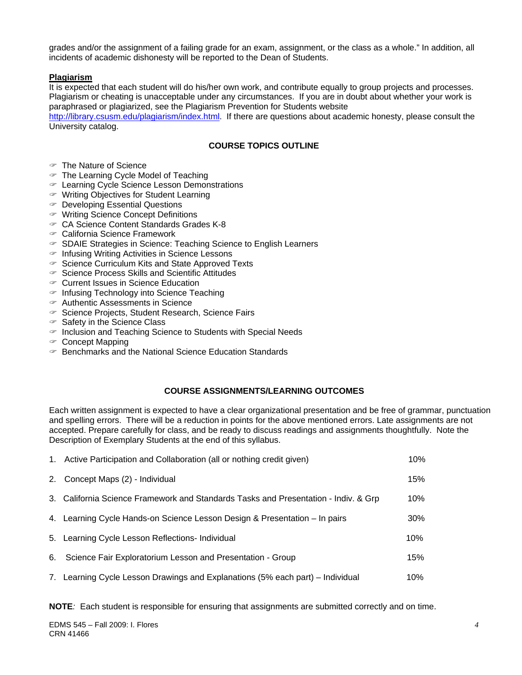grades and/or the assignment of a failing grade for an exam, assignment, or the class as a whole." In addition, all incidents of academic dishonesty will be reported to the Dean of Students.

## **Plagiarism**

It is expected that each student will do his/her own work, and contribute equally to group projects and processes. Plagiarism or cheating is unacceptable under any circumstances. If you are in doubt about whether your work is paraphrased or plagiarized, see the Plagiarism Prevention for Students website

http://library.csusm.edu/plagiarism/index.html. If there are questions about academic honesty, please consult the University catalog.

## **COURSE TOPICS OUTLINE**

- $\mathcal$  The Nature of Science
- $\in$  The Learning Cycle Model of Teaching
- " Learning Cycle Science Lesson Demonstrations
- $\mathcal P$  Writing Objectives for Student Learning
- $\infty$  Developing Essential Questions
- " Writing Science Concept Definitions
- " CA Science Content Standards Grades K-8
- " California Science Framework
- $\in$  SDAIE Strategies in Science: Teaching Science to English Learners
- $\in$  Infusing Writing Activities in Science Lessons
- $\degree$  Science Curriculum Kits and State Approved Texts
- $\degree$  Science Process Skills and Scientific Attitudes
- $\infty$  Current Issues in Science Education
- $\in$  Infusing Technology into Science Teaching
- $\mathcal{F}$  Authentic Assessments in Science
- " Science Projects, Student Research, Science Fairs
- $\in$  Safety in the Science Class
- $\in$  Inclusion and Teaching Science to Students with Special Needs
- $\infty$  Concept Mapping
- $\in$  Benchmarks and the National Science Education Standards

## **COURSE ASSIGNMENTS/LEARNING OUTCOMES**

Each written assignment is expected to have a clear organizational presentation and be free of grammar, punctuation and spelling errors. There will be a reduction in points for the above mentioned errors. Late assignments are not accepted. Prepare carefully for class, and be ready to discuss readings and assignments thoughtfully. Note the Description of Exemplary Students at the end of this syllabus.

| 1. Active Participation and Collaboration (all or nothing credit given)             | 10%    |
|-------------------------------------------------------------------------------------|--------|
| 2. Concept Maps (2) - Individual                                                    | 15%    |
| 3. California Science Framework and Standards Tasks and Presentation - Indiv. & Grp | 10%    |
| 4. Learning Cycle Hands-on Science Lesson Design & Presentation - In pairs          | $30\%$ |
| 5. Learning Cycle Lesson Reflections- Individual                                    | 10%    |
| 6. Science Fair Exploratorium Lesson and Presentation - Group                       | 15%    |
| 7. Learning Cycle Lesson Drawings and Explanations (5% each part) – Individual      | 10%    |

**NOTE***:* Each student is responsible for ensuring that assignments are submitted correctly and on time.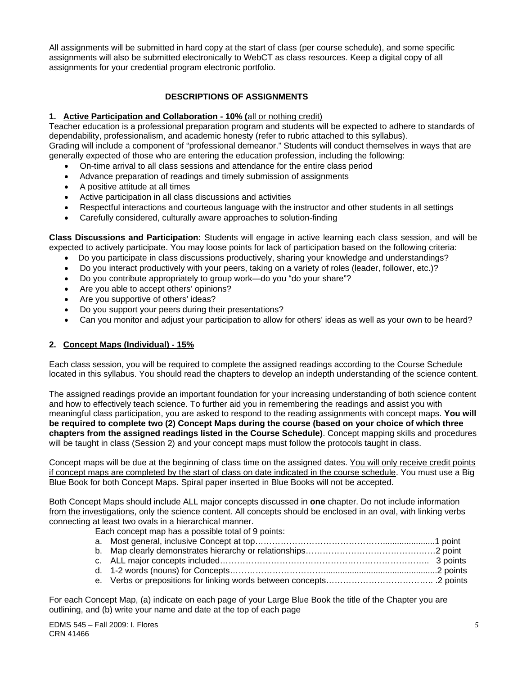All assignments will be submitted in hard copy at the start of class (per course schedule), and some specific assignments will also be submitted electronically to WebCT as class resources. Keep a digital copy of all assignments for your credential program electronic portfolio.

## **DESCRIPTIONS OF ASSIGNMENTS**

## **1. Active Participation and Collaboration - 10% (**all or nothing credit)

Teacher education is a professional preparation program and students will be expected to adhere to standards of dependability, professionalism, and academic honesty (refer to rubric attached to this syllabus). Grading will include a component of "professional demeanor." Students will conduct themselves in ways that are

- generally expected of those who are entering the education profession, including the following:
	- On-time arrival to all class sessions and attendance for the entire class period
	- Advance preparation of readings and timely submission of assignments
	- A positive attitude at all times
	- Active participation in all class discussions and activities
	- Respectful interactions and courteous language with the instructor and other students in all settings
	- Carefully considered, culturally aware approaches to solution-finding

**Class Discussions and Participation:** Students will engage in active learning each class session, and will be expected to actively participate. You may loose points for lack of participation based on the following criteria:

- Do you participate in class discussions productively, sharing your knowledge and understandings?
- Do you interact productively with your peers, taking on a variety of roles (leader, follower, etc.)?
- Do you contribute appropriately to group work—do you "do your share"?
- Are you able to accept others' opinions?
- Are you supportive of others' ideas?
- Do you support your peers during their presentations?
- Can you monitor and adjust your participation to allow for others' ideas as well as your own to be heard?

## **2. Concept Maps (Individual) - 15%**

Each class session, you will be required to complete the assigned readings according to the Course Schedule located in this syllabus. You should read the chapters to develop an indepth understanding of the science content.

The assigned readings provide an important foundation for your increasing understanding of both science content and how to effectively teach science. To further aid you in remembering the readings and assist you with meaningful class participation, you are asked to respond to the reading assignments with concept maps. **You will be required to complete two (2) Concept Maps during the course (based on your choice of which three chapters from the assigned readings listed in the Course Schedule)**. Concept mapping skills and procedures will be taught in class (Session 2) and your concept maps must follow the protocols taught in class.

Concept maps will be due at the beginning of class time on the assigned dates. You will only receive credit points if concept maps are completed by the start of class on date indicated in the course schedule. You must use a Big Blue Book for both Concept Maps. Spiral paper inserted in Blue Books will not be accepted.

Both Concept Maps should include ALL major concepts discussed in **one** chapter. Do not include information from the investigations, only the science content. All concepts should be enclosed in an oval, with linking verbs connecting at least two ovals in a hierarchical manner.

Each concept map has a possible total of 9 points:

For each Concept Map, (a) indicate on each page of your Large Blue Book the title of the Chapter you are outlining, and (b) write your name and date at the top of each page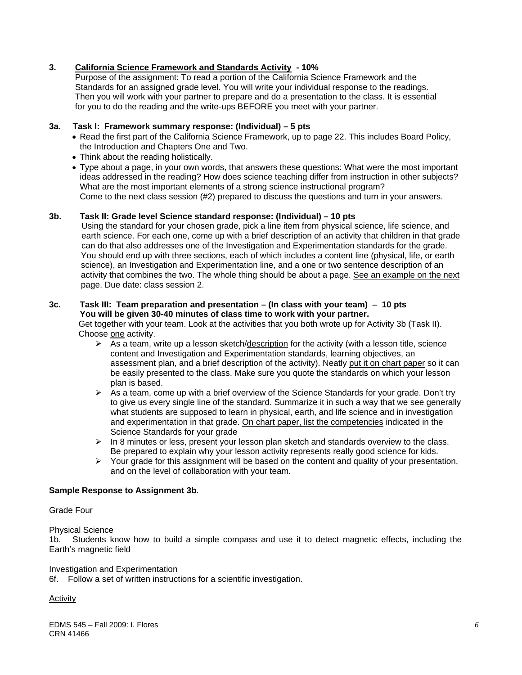## **3. California Science Framework and Standards Activity - 10%**

 Purpose of the assignment: To read a portion of the California Science Framework and the Standards for an assigned grade level. You will write your individual response to the readings. Then you will work with your partner to prepare and do a presentation to the class. It is essential for you to do the reading and the write-ups BEFORE you meet with your partner.

## **3a. Task I: Framework summary response: (Individual) – 5 pts**

- Read the first part of the California Science Framework, up to page 22. This includes Board Policy, the Introduction and Chapters One and Two.
- Think about the reading holistically.
- Type about a page, in your own words, that answers these questions: What were the most important ideas addressed in the reading? How does science teaching differ from instruction in other subjects? What are the most important elements of a strong science instructional program? Come to the next class session (#2) prepared to discuss the questions and turn in your answers.

## **3b. Task II: Grade level Science standard response: (Individual) – 10 pts**

 Using the standard for your chosen grade, pick a line item from physical science, life science, and earth science. For each one, come up with a brief description of an activity that children in that grade can do that also addresses one of the Investigation and Experimentation standards for the grade. You should end up with three sections, each of which includes a content line (physical, life, or earth science), an Investigation and Experimentation line, and a one or two sentence description of an activity that combines the two. The whole thing should be about a page. See an example on the next page. Due date: class session 2.

#### **3c. Task III: Team preparation and presentation – (In class with your team)** – **10 pts You will be given 30-40 minutes of class time to work with your partner.**

 Get together with your team. Look at the activities that you both wrote up for Activity 3b (Task II). Choose one activity.

- assessment plan, and a brief description of the activity). Neatly put it on chart paper so it can  $\triangleright$  As a team, write up a lesson sketch/description for the activity (with a lesson title, science content and Investigation and Experimentation standards, learning objectives, an be easily presented to the class. Make sure you quote the standards on which your lesson plan is based.
- $\triangleright$  As a team, come up with a brief overview of the Science Standards for your grade. Don't try to give us every single line of the standard. Summarize it in such a way that we see generally what students are supposed to learn in physical, earth, and life science and in investigation and experimentation in that grade. On chart paper, list the competencies indicated in the Science Standards for your grade
- $\triangleright$  In 8 minutes or less, present your lesson plan sketch and standards overview to the class. Be prepared to explain why your lesson activity represents really good science for kids.
- $\triangleright$  Your grade for this assignment will be based on the content and quality of your presentation, and on the level of collaboration with your team.

## **Sample Response to Assignment 3b**.

#### Grade Four

#### Physical Science

1b. Students know how to build a simple compass and use it to detect magnetic effects, including the Earth's magnetic field

#### Investigation and Experimentation

6f. Follow a set of written instructions for a scientific investigation.

## Activity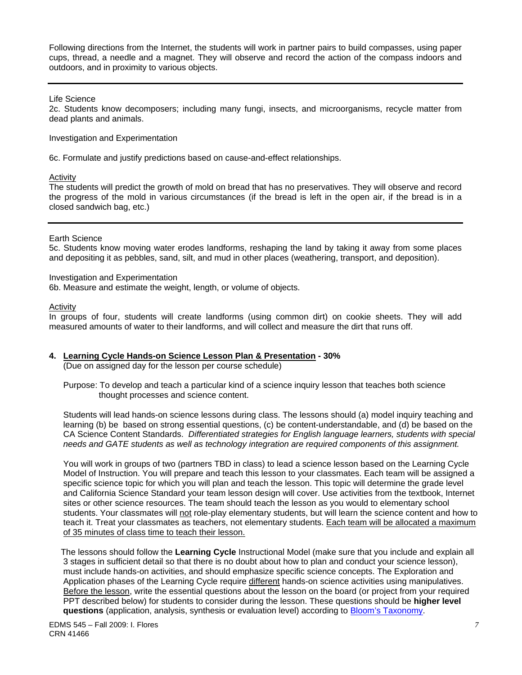Following directions from the Internet, the students will work in partner pairs to build compasses, using paper cups, thread, a needle and a magnet. They will observe and record the action of the compass indoors and outdoors, and in proximity to various objects.

#### Life Science

2c. Students know decomposers; including many fungi, insects, and microorganisms, recycle matter from dead plants and animals.

Investigation and Experimentation

6c. Formulate and justify predictions based on cause-and-effect relationships.

#### Activity

 the progress of the mold in various circumstances (if the bread is left in the open air, if the bread is in a The students will predict the growth of mold on bread that has no preservatives. They will observe and record closed sandwich bag, etc.)

#### Earth Science

5c. Students know moving water erodes landforms, reshaping the land by taking it away from some places and depositing it as pebbles, sand, silt, and mud in other places (weathering, transport, and deposition).

#### Investigation and Experimentation

6b. Measure and estimate the weight, length, or volume of objects.

#### Activity

In groups of four, students will create landforms (using common dirt) on cookie sheets. They will add measured amounts of water to their landforms, and will collect and measure the dirt that runs off.

#### **4. Learning Cycle Hands-on Science Lesson Plan & Presentation - 30%**

(Due on assigned day for the lesson per course schedule)

 Purpose: To develop and teach a particular kind of a science inquiry lesson that teaches both science thought processes and science content.

 Students will lead hands-on science lessons during class. The lessons should (a) model inquiry teaching and learning (b) be based on strong essential questions, (c) be content-understandable, and (d) be based on the CA Science Content Standards. *Differentiated strategies for English language learners, students with special needs and GATE students as well as technology integration are required components of this assignment.*

 You will work in groups of two (partners TBD in class) to lead a science lesson based on the Learning Cycle Model of Instruction. You will prepare and teach this lesson to your classmates. Each team will be assigned a specific science topic for which you will plan and teach the lesson. This topic will determine the grade level and California Science Standard your team lesson design will cover. Use activities from the textbook, Internet sites or other science resources. The team should teach the lesson as you would to elementary school students. Your classmates will not role-play elementary students, but will learn the science content and how to teach it. Treat your classmates as teachers, not elementary students. Each team will be allocated a maximum of 35 minutes of class time to teach their lesson.

 The lessons should follow the **Learning Cycle** Instructional Model (make sure that you include and explain all 3 stages in sufficient detail so that there is no doubt about how to plan and conduct your science lesson), must include hands-on activities, and should emphasize specific science concepts. The Exploration and Application phases of the Learning Cycle require different hands-on science activities using manipulatives. Before the lesson, write the essential questions about the lesson on the board (or project from your required PPT described below) for students to consider during the lesson. These questions should be **higher level questions** (application, analysis, synthesis or evaluation level) according to Bloom's Taxonomy.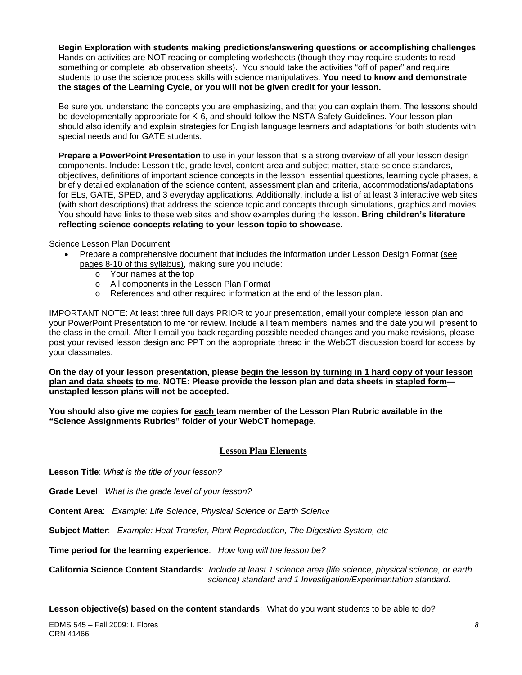**Begin Exploration with students making predictions/answering questions or accomplishing challenges**. Hands-on activities are NOT reading or completing worksheets (though they may require students to read something or complete lab observation sheets). You should take the activities "off of paper" and require students to use the science process skills with science manipulatives. **You need to know and demonstrate the stages of the Learning Cycle, or you will not be given credit for your lesson.**

 Be sure you understand the concepts you are emphasizing, and that you can explain them. The lessons should be developmentally appropriate for K-6, and should follow the NSTA Safety Guidelines. Your lesson plan should also identify and explain strategies for English language learners and adaptations for both students with special needs and for GATE students.

**Prepare a PowerPoint Presentation** to use in your lesson that is a strong overview of all your lesson design components. Include: Lesson title, grade level, content area and subject matter, state science standards, objectives, definitions of important science concepts in the lesson, essential questions, learning cycle phases, a briefly detailed explanation of the science content, assessment plan and criteria, accommodations/adaptations for ELs, GATE, SPED, and 3 everyday applications. Additionally, include a list of at least 3 interactive web sites (with short descriptions) that address the science topic and concepts through simulations, graphics and movies. You should have links to these web sites and show examples during the lesson. **Bring children's literature reflecting science concepts relating to your lesson topic to showcase.** 

Science Lesson Plan Document

- Prepare a comprehensive document that includes the information under Lesson Design Format (see pages 8-10 of this syllabus), making sure you include:
	- $\circ$  Your names at the top<br> $\circ$  All components in the I
	- All components in the Lesson Plan Format
	- o References and other required information at the end of the lesson plan.

IMPORTANT NOTE: At least three full days PRIOR to your presentation, email your complete lesson plan and your PowerPoint Presentation to me for review. Include all team members' names and the date you will present to the class in the email. After I email you back regarding possible needed changes and you make revisions, please post your revised lesson design and PPT on the appropriate thread in the WebCT discussion board for access by your classmates.

**On the day of your lesson presentation, please begin the lesson by turning in 1 hard copy of your lesson plan and data sheets to me. NOTE: Please provide the lesson plan and data sheets in stapled form unstapled lesson plans will not be accepted.** 

**You should also give me copies for each team member of the Lesson Plan Rubric available in the "Science Assignments Rubrics" folder of your WebCT homepage.** 

## **Lesson Plan Elements**

**Lesson Title**: *What is the title of your lesson?* 

**Grade Level**: *What is the grade level of your lesson?* 

**Content Area**: *Example: Life Science, Physical Science or Earth Science* 

**Subject Matter**: *Example: Heat Transfer, Plant Reproduction, The Digestive System, etc* 

**Time period for the learning experience**: *How long will the lesson be?* 

**California Science Content Standards**: *Include at least 1 science area (life science, physical science, or earth science) standard and 1 Investigation/Experimentation standard.* 

**Lesson objective(s) based on the content standards**: What do you want students to be able to do?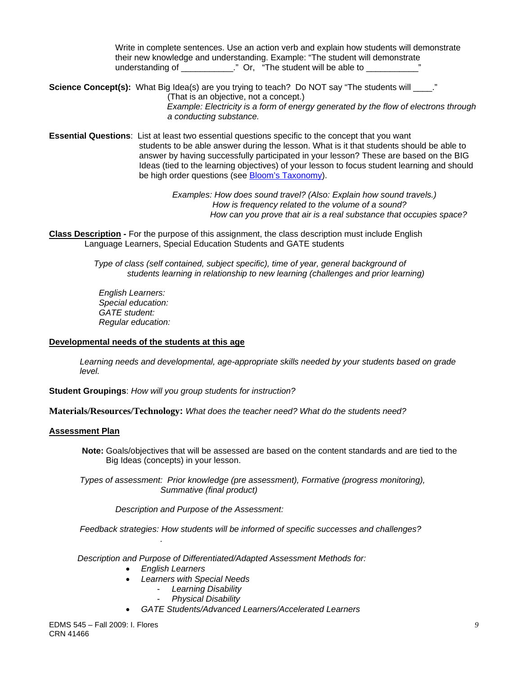Write in complete sentences. Use an action verb and explain how students will demonstrate their new knowledge and understanding. Example: "The student will demonstrate understanding of \_\_\_\_\_\_\_\_\_\_\_\_." Or, "The student will be able to \_\_\_\_\_\_\_\_\_\_\_\_

**Science Concept(s):** What Big Idea(s) are you trying to teach? Do NOT say "The students will \_\_\_\_." (That is an objective, not a concept.) *Example: Electricity is a form of energy generated by the flow of electrons through*

 *a conducting substance.* 

 **Essential Questions**: List at least two essential questions specific to the concept that you want students to be able answer during the lesson. What is it that students should be able to answer by having successfully participated in your lesson? These are based on the BIG Ideas (tied to the learning objectives) of your lesson to focus student learning and should be high order questions (see Bloom's Taxonomy).

> *Examples: How does sound travel? (Also: Explain how sound travels.) How is frequency related to the volume of a sound? How can you prove that air is a real substance that occupies space?*

**Class Description -** For the purpose of this assignment, the class description must include English Language Learners, Special Education Students and GATE students

> *Type of class (self contained, subject specific), time of year, general background of students learning in relationship to new learning (challenges and prior learning)*

*English Learners: Special education: GATE student: Regular education:* 

#### **Developmental needs of the students at this age**

*Learning needs and developmental, age-appropriate skills needed by your students based on grade level.* 

**Student Groupings**: *How will you group students for instruction?* 

**Materials/Resources/Technology:** *What does the teacher need? What do the students need?* 

#### **Assessment Plan**

**Note:** Goals/objectives that will be assessed are based on the content standards and are tied to the Big Ideas (concepts) in your lesson.

 *Types of assessment: Prior knowledge (pre assessment), Formative (progress monitoring), Summative (final product)* 

 *Description and Purpose of the Assessment:* 

 *Feedback strategies: How students will be informed of specific successes and challenges?* 

 *Description and Purpose of Differentiated/Adapted Assessment Methods for:* 

• *English Learners* 

*.*

- *Learners with Special Needs* 
	- *Learning Disability*
	- *Physical Disability*
- *GATE Students/Advanced Learners/Accelerated Learners*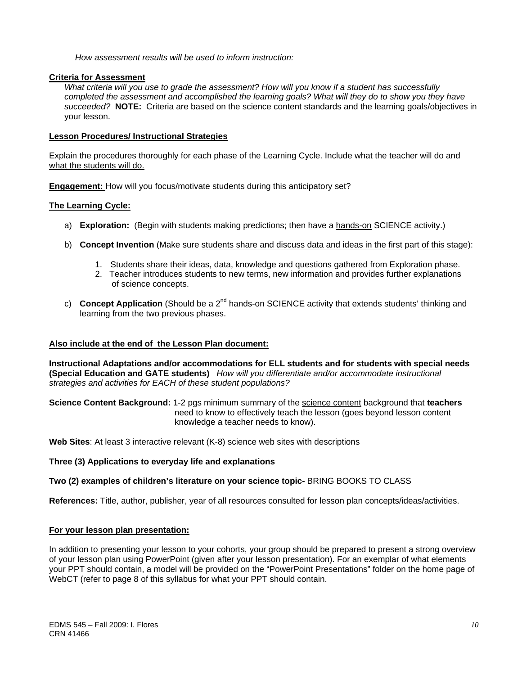*How assessment results will be used to inform instruction:* 

## **Criteria for Assessment**

 *succeeded?* **NOTE:** Criteria are based on the science content standards and the learning goals/objectives in *What criteria will you use to grade the assessment? How will you know if a student has successfully completed the assessment and accomplished the learning goals? What will they do to show you they have*  your lesson.

## **Lesson Procedures/ Instructional Strategies**

what the students will do. Explain the procedures thoroughly for each phase of the Learning Cycle. Include what the teacher will do and

**Engagement:** How will you focus/motivate students during this anticipatory set?

## **The Learning Cycle:**

- a) **Exploration:** (Begin with students making predictions; then have a hands-on SCIENCE activity.)
- b) **Concept Invention** (Make sure students share and discuss data and ideas in the first part of this stage):
	- 1. Students share their ideas, data, knowledge and questions gathered from Exploration phase.
	- 2. Teacher introduces students to new terms, new information and provides further explanations of science concepts.
- c) **Concept Application** (Should be a 2<sup>nd</sup> hands-on SCIENCE activity that extends students' thinking and learning from the two previous phases.

#### **Also include at the end of the Lesson Plan document:**

 **(Special Education and GATE students)** *How will you differentiate and/or accommodate instructional*  **Instructional Adaptations and/or accommodations for ELL students and for students with special needs**  *strategies and activities for EACH of these student populations?* 

**Science Content Background:** 1-2 pgs minimum summary of the science content background that **teachers** need to know to effectively teach the lesson (goes beyond lesson content knowledge a teacher needs to know).

**Web Sites**: At least 3 interactive relevant (K-8) science web sites with descriptions

## Three (3) Applications to everyday life and explanations

## **Two (2) examples of children's literature on your science topic-** BRING BOOKS TO CLASS

**References:** Title, author, publisher, year of all resources consulted for lesson plan concepts/ideas/activities.

## **For your lesson plan presentation:**

In addition to presenting your lesson to your cohorts, your group should be prepared to present a strong overview of your lesson plan using PowerPoint (given after your lesson presentation). For an exemplar of what elements your PPT should contain, a model will be provided on the "PowerPoint Presentations" folder on the home page of WebCT (refer to page 8 of this syllabus for what your PPT should contain.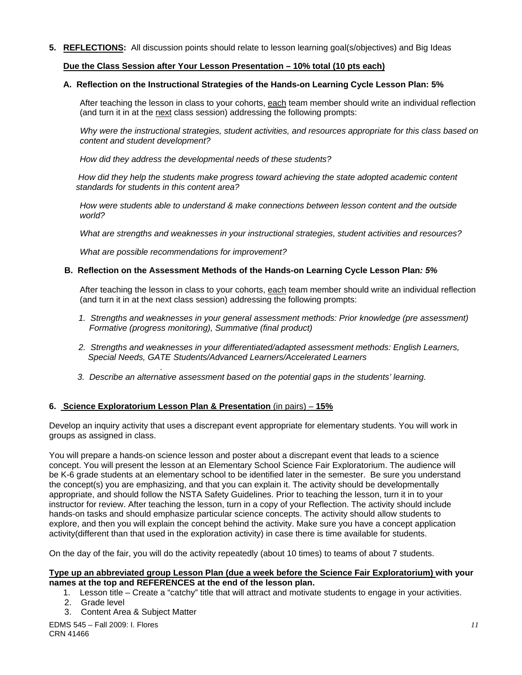**5. REFLECTIONS:** All discussion points should relate to lesson learning goal(s/objectives) and Big Ideas

## **Due the Class Session after Your Lesson Presentation – 10% total (10 pts each)**

## **A. Reflection on the Instructional Strategies of the Hands-on Learning Cycle Lesson Plan: 5%**

After teaching the lesson in class to your cohorts, <u>each</u> team member should write an individual reflection<br>(and turn it in at the <u>next</u> class session) addressing the following prompts:

content and student development?  *Why were the instructional strategies, student activities, and resources appropriate for this class based on* 

*content and student development? How did they address the developmental needs of these students?*

standards for students in this content area?  *How did they help the students make progress toward achieving the state adopted academic content* 

*standards for students in this content area? How were students able to understand & make connections between lesson content and the outside world?* 

*What are strengths and weaknesses in your instructional strategies, student activities and resources?* 

 *What are possible recommendations for improvement?* 

## **B. Reflection on the Assessment Methods of the Hands-on Learning Cycle Lesson Plan***: 5%*

After teaching the lesson in class to your cohorts, each team member should write an individual reflection (and turn it in at the next class session) addressing the following prompts:

- 1. Strengths and weaknesses in your general assessment methods: Prior knowledge (pre assessment)  *Formative (progress monitoring), Summative (final product)*
- *2. Strengths and weaknesses in your differentiated/adapted assessment methods: English Learners, Special Needs, GATE Students/Advanced Learners/Accelerated Learners*
- *. 3. Describe an alternative assessment based on the potential gaps in the students' learning.*

## **6. Science Exploratorium Lesson Plan & Presentation** (in pairs) – **15%**

Develop an inquiry activity that uses a discrepant event appropriate for elementary students. You will work in groups as assigned in class.

You will prepare a hands-on science lesson and poster about a discrepant event that leads to a science concept. You will present the lesson at an Elementary School Science Fair Exploratorium. The audience will be K-6 grade students at an elementary school to be identified later in the semester. Be sure you understand the concept(s) you are emphasizing, and that you can explain it. The activity should be developmentally appropriate, and should follow the NSTA Safety Guidelines. Prior to teaching the lesson, turn it in to your instructor for review. After teaching the lesson, turn in a copy of your Reflection. The activity should include hands-on tasks and should emphasize particular science concepts. The activity should allow students to explore, and then you will explain the concept behind the activity. Make sure you have a concept application activity(different than that used in the exploration activity) in case there is time available for students.

On the day of the fair, you will do the activity repeatedly (about 10 times) to teams of about 7 students.

#### **Type up an abbreviated group Lesson Plan (due a week before the Science Fair Exploratorium) with your names at the top and REFERENCES at the end of the lesson plan.**

- 1. Lesson title Create a "catchy" title that will attract and motivate students to engage in your activities.
- 2. Grade level
- 3. Content Area & Subject Matter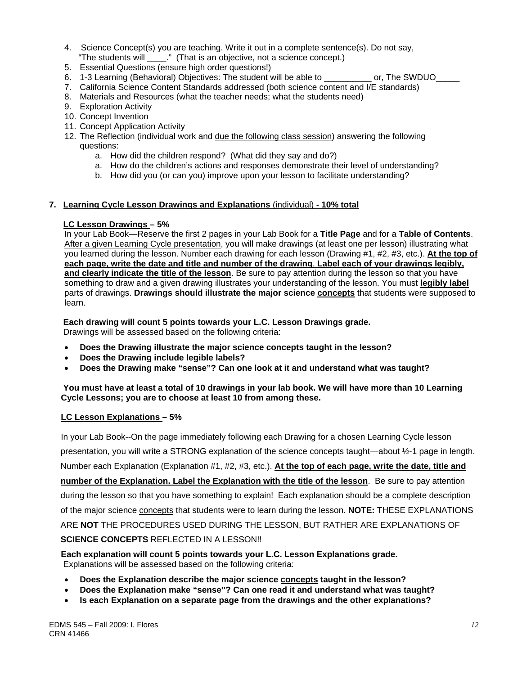- 4. Science Concept(s) you are teaching. Write it out in a complete sentence(s). Do not say, "The students will \_\_\_\_." (That is an objective, not a science concept.)
- 5. Essential Questions (ensure high order questions!)
- 6. 1-3 Learning (Behavioral) Objectives: The student will be able to \_\_\_\_\_\_\_\_\_\_ or, The SWDUO\_\_\_\_\_
- 7. California Science Content Standards addressed (both science content and I/E standards)
- 8. Materials and Resources (what the teacher needs; what the students need)
- 9. Exploration Activity
- 10. Concept Invention
- 11. Concept Application Activity
- 12. The Reflection (individual work and due the following class session) answering the following questions:
	- a. How did the children respond? (What did they say and do?)
	- a. How do the children's actions and responses demonstrate their level of understanding?
	- b. How did you (or can you) improve upon your lesson to facilitate understanding?

## **7. Learning Cycle Lesson Drawings and Explanations** (individual) **- 10% total**

## **LC Lesson Drawings – 5%**

In your Lab Book—Reserve the first 2 pages in your Lab Book for a **Title Page** and for a **Table of Contents**. After a given Learning Cycle presentation, you will make drawings (at least one per lesson) illustrating what you learned during the lesson. Number each drawing for each lesson (Drawing #1, #2, #3, etc.). **At the top of each page, write the date and title and number of the drawing**. **Label each of your drawings legibly, and clearly indicate the title of the lesson**. Be sure to pay attention during the lesson so that you have something to draw and a given drawing illustrates your understanding of the lesson. You must **legibly label**  parts of drawings. **Drawings should illustrate the major science concepts** that students were supposed to learn.

 **Each drawing will count 5 points towards your L.C. Lesson Drawings grade.** Drawings will be assessed based on the following criteria:

- • **Does the Drawing illustrate the major science concepts taught in the lesson?**
- **Does the Drawing include legible labels?**
- Does the Drawing make "sense"? Can one look at it and understand what was taught?

## **You must have at least a total of 10 drawings in your lab book. We will have more than 10 Learning Cycle Lessons; you are to choose at least 10 from among these.**

## **LC Lesson Explanations – 5%**

 In your Lab Book--On the page immediately following each Drawing for a chosen Learning Cycle lesson presentation, you will write a STRONG explanation of the science concepts taught—about ½-1 page in length. Number each Explanation (Explanation #1, #2, #3, etc.). **At the top of each page, write the date, title and number of the Explanation. Label the Explanation with the title of the lesson**. Be sure to pay attention during the lesson so that you have something to explain! Each explanation should be a complete description of the major science concepts that students were to learn during the lesson. **NOTE:** THESE EXPLANATIONS ARE **NOT** THE PROCEDURES USED DURING THE LESSON, BUT RATHER ARE EXPLANATIONS OF **SCIENCE CONCEPTS** REFLECTED IN A LESSON!!

 **Each explanation will count 5 points towards your L.C. Lesson Explanations grade.**  Explanations will be assessed based on the following criteria:

- • **Does the Explanation describe the major science concepts taught in the lesson?**
- • **Does the Explanation make "sense"? Can one read it and understand what was taught?**
- **Is each Explanation on a separate page from the drawings and the other explanations?**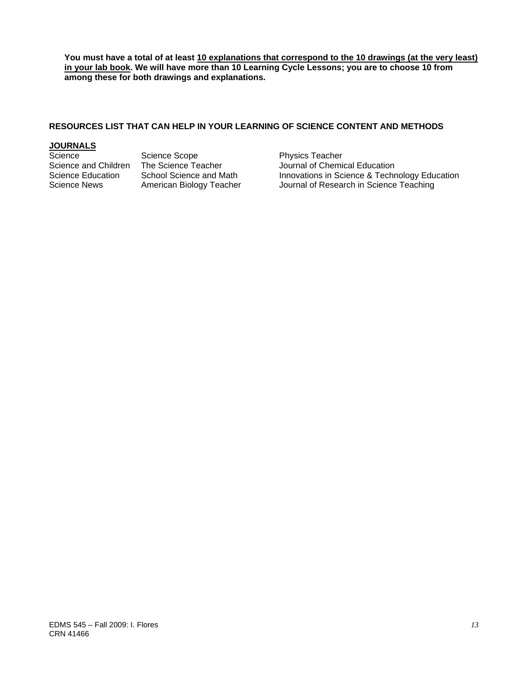**You must have a total of at least 10 explanations that correspond to the 10 drawings (at the very least) in your lab book. We will have more than 10 Learning Cycle Lessons; you are to choose 10 from among these for both drawings and explanations.** 

## **RESOURCES LIST THAT CAN HELP IN YOUR LEARNING OF SCIENCE CONTENT AND METHODS**

# **JOURNALS**

Science Scope **Physics Teacher** 

Science and Children The Science Teacher Journal of Chemical Education<br>Science Education School Science and Math Innovations in Science & Techn Science Education School Science and Math Innovations in Science & Technology Education<br>Science News American Biology Teacher Journal of Research in Science Teaching Journal of Research in Science Teaching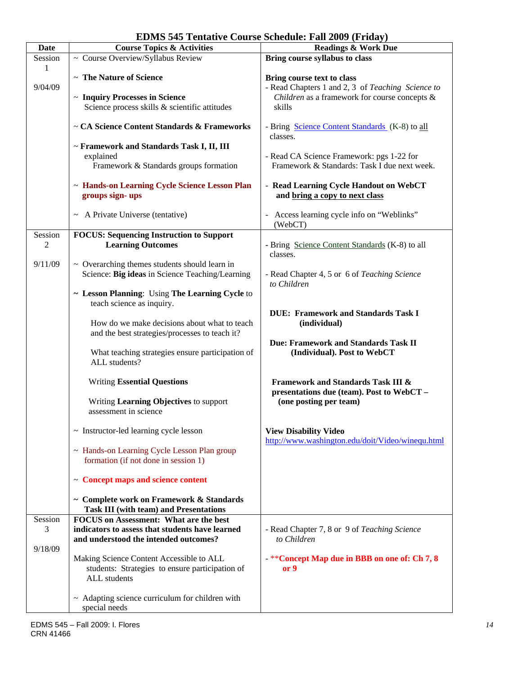| Date       | <b>Course Topics &amp; Activities</b>                                                     | <b>Readings &amp; Work Due</b>                    |
|------------|-------------------------------------------------------------------------------------------|---------------------------------------------------|
| Session    | ~ Course Overview/Syllabus Review                                                         | Bring course syllabus to class                    |
| 1          |                                                                                           |                                                   |
|            | ~ The Nature of Science                                                                   | Bring course text to class                        |
| 9/04/09    |                                                                                           | - Read Chapters 1 and 2, 3 of Teaching Science to |
|            | ~ Inquiry Processes in Science                                                            | Children as a framework for course concepts &     |
|            | Science process skills & scientific attitudes                                             | skills                                            |
|            |                                                                                           |                                                   |
|            | ~ CA Science Content Standards & Frameworks                                               | - Bring Science Content Standards (K-8) to all    |
|            |                                                                                           | classes.                                          |
|            | ~ Framework and Standards Task I, II, III                                                 |                                                   |
|            | explained                                                                                 | - Read CA Science Framework: pgs 1-22 for         |
|            | Framework & Standards groups formation                                                    | Framework & Standards: Task I due next week.      |
|            |                                                                                           |                                                   |
|            | ~ Hands-on Learning Cycle Science Lesson Plan                                             | - Read Learning Cycle Handout on WebCT            |
|            | groups sign-ups                                                                           | and bring a copy to next class                    |
|            |                                                                                           |                                                   |
|            | $\sim$ A Private Universe (tentative)                                                     | Access learning cycle info on "Weblinks"          |
|            |                                                                                           | (WebCT)                                           |
| Session    | <b>FOCUS: Sequencing Instruction to Support</b>                                           |                                                   |
| $\sqrt{2}$ | <b>Learning Outcomes</b>                                                                  | - Bring Science Content Standards (K-8) to all    |
|            |                                                                                           | classes.                                          |
| 9/11/09    | ~ Overarching themes students should learn in                                             |                                                   |
|            | Science: Big ideas in Science Teaching/Learning                                           | - Read Chapter 4, 5 or 6 of Teaching Science      |
|            |                                                                                           | to Children                                       |
|            | ~ Lesson Planning: Using The Learning Cycle to                                            |                                                   |
|            | teach science as inquiry.                                                                 |                                                   |
|            |                                                                                           | <b>DUE: Framework and Standards Task I</b>        |
|            | How do we make decisions about what to teach                                              | (individual)                                      |
|            | and the best strategies/processes to teach it?                                            |                                                   |
|            |                                                                                           | Due: Framework and Standards Task II              |
|            | What teaching strategies ensure participation of                                          | (Individual). Post to WebCT                       |
|            | ALL students?                                                                             |                                                   |
|            |                                                                                           |                                                   |
|            | <b>Writing Essential Questions</b>                                                        | <b>Framework and Standards Task III &amp;</b>     |
|            |                                                                                           | presentations due (team). Post to WebCT -         |
|            | Writing Learning Objectives to support                                                    | (one posting per team)                            |
|            | assessment in science                                                                     |                                                   |
|            |                                                                                           |                                                   |
|            | ~ Instructor-led learning cycle lesson                                                    | <b>View Disability Video</b>                      |
|            |                                                                                           | http://www.washington.edu/doit/Video/winequ.html  |
|            | ~ Hands-on Learning Cycle Lesson Plan group                                               |                                                   |
|            | formation (if not done in session 1)                                                      |                                                   |
|            |                                                                                           |                                                   |
|            | ~ Concept maps and science content                                                        |                                                   |
|            |                                                                                           |                                                   |
|            | ~ Complete work on Framework & Standards<br><b>Task III (with team) and Presentations</b> |                                                   |
| Session    | <b>FOCUS</b> on Assessment: What are the best                                             |                                                   |
| 3          | indicators to assess that students have learned                                           | - Read Chapter 7, 8 or 9 of Teaching Science      |
|            | and understood the intended outcomes?                                                     | to Children                                       |
| 9/18/09    |                                                                                           |                                                   |
|            | Making Science Content Accessible to ALL                                                  | - ** Concept Map due in BBB on one of: Ch 7, 8    |
|            | students: Strategies to ensure participation of                                           | or 9                                              |
|            | ALL students                                                                              |                                                   |
|            |                                                                                           |                                                   |
|            | $\sim$ Adapting science curriculum for children with                                      |                                                   |
|            | special needs                                                                             |                                                   |

# **EDMS 545 Tentative Course Schedule: Fall 2009 (Friday)**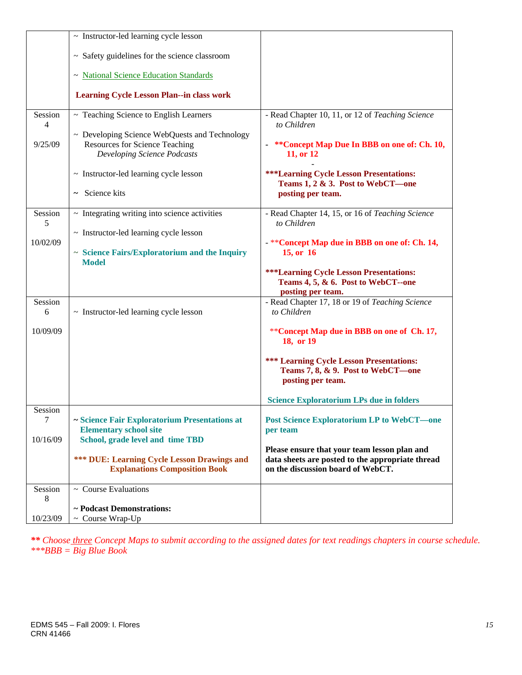|                           | $\sim$ Instructor-led learning cycle lesson                                                                    |                                                                                                            |
|---------------------------|----------------------------------------------------------------------------------------------------------------|------------------------------------------------------------------------------------------------------------|
|                           |                                                                                                                |                                                                                                            |
|                           | ~ Safety guidelines for the science classroom                                                                  |                                                                                                            |
|                           | ~ National Science Education Standards                                                                         |                                                                                                            |
|                           | <b>Learning Cycle Lesson Plan--in class work</b>                                                               |                                                                                                            |
| Session<br>$\overline{4}$ | ~ Teaching Science to English Learners                                                                         | - Read Chapter 10, 11, or 12 of Teaching Science<br>to Children                                            |
| 9/25/09                   | ~ Developing Science WebQuests and Technology<br>Resources for Science Teaching<br>Developing Science Podcasts | **Concept Map Due In BBB on one of: Ch. 10,<br>11, or 12                                                   |
|                           | $\sim$ Instructor-led learning cycle lesson                                                                    | <b>***Learning Cycle Lesson Presentations:</b><br>Teams 1, 2 & 3. Post to WebCT-one                        |
|                           | $\sim$ Science kits                                                                                            | posting per team.                                                                                          |
| Session<br>5              | $\sim$ Integrating writing into science activities                                                             | - Read Chapter 14, 15, or 16 of Teaching Science<br>to Children                                            |
|                           | ~ Instructor-led learning cycle lesson                                                                         |                                                                                                            |
| 10/02/09                  | $\sim$ Science Fairs/Exploratorium and the Inquiry<br><b>Model</b>                                             | - ** Concept Map due in BBB on one of: Ch. 14,<br>15, or 16                                                |
|                           |                                                                                                                | <b>***Learning Cycle Lesson Presentations:</b><br>Teams 4, 5, & 6. Post to WebCT--one<br>posting per team. |
| Session<br>6              | $\sim$ Instructor-led learning cycle lesson                                                                    | - Read Chapter 17, 18 or 19 of Teaching Science<br>to Children                                             |
| 10/09/09                  |                                                                                                                | **Concept Map due in BBB on one of Ch. 17,<br>18, or 19                                                    |
|                           |                                                                                                                | <b>*** Learning Cycle Lesson Presentations:</b><br>Teams 7, 8, & 9. Post to WebCT-one<br>posting per team. |
|                           |                                                                                                                | <b>Science Exploratorium LPs due in folders</b>                                                            |
| Session<br>$\tau$         | ~ Science Fair Exploratorium Presentations at<br><b>Elementary school site</b>                                 | <b>Post Science Exploratorium LP to WebCT—one</b><br>per team                                              |
| 10/16/09                  | School, grade level and time TBD                                                                               | Please ensure that your team lesson plan and                                                               |
|                           | <b>*** DUE: Learning Cycle Lesson Drawings and</b><br><b>Explanations Composition Book</b>                     | data sheets are posted to the appropriate thread<br>on the discussion board of WebCT.                      |
| Session<br>8              | $\sim$ Course Evaluations                                                                                      |                                                                                                            |
|                           | ~ Podcast Demonstrations:                                                                                      |                                                                                                            |
| 10/23/09                  | $\sim$ Course Wrap-Up                                                                                          |                                                                                                            |

*\*\* Choose three Concept Maps to submit according to the assigned dates for text readings chapters in course schedule. \*\*\*BBB = Big Blue Book*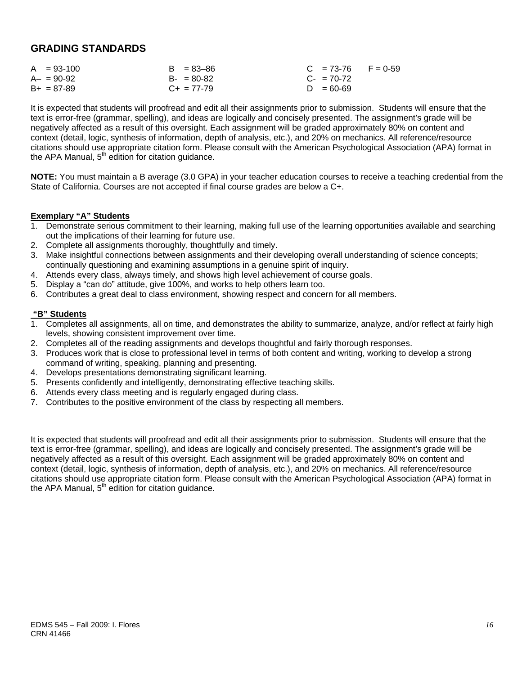## **GRADING STANDARDS**

| $A = 93-100$    | $B = 83 - 86$   | $C = 73-76$ F = 0-59 |
|-----------------|-----------------|----------------------|
| $A - = 90 - 92$ | $B - 80 - 82$   | $C_{2}$ = 70-72      |
| $B+ = 87-89$    | $C_{+}$ = 77-79 | $D = 60 - 69$        |

It is expected that students will proofread and edit all their assignments prior to submission. Students will ensure that the text is error-free (grammar, spelling), and ideas are logically and concisely presented. The assignment's grade will be negatively affected as a result of this oversight. Each assignment will be graded approximately 80% on content and context (detail, logic, synthesis of information, depth of analysis, etc.), and 20% on mechanics. All reference/resource citations should use appropriate citation form. Please consult with the American Psychological Association (APA) format in the APA Manual,  $5<sup>th</sup>$  edition for citation quidance.

**NOTE:** You must maintain a B average (3.0 GPA) in your teacher education courses to receive a teaching credential from the State of California. Courses are not accepted if final course grades are below a C+.

## **Exemplary "A" Students**

- 1. Demonstrate serious commitment to their learning, making full use of the learning opportunities available and searching out the implications of their learning for future use.
- 2. Complete all assignments thoroughly, thoughtfully and timely.
- 3. Make insightful connections between assignments and their developing overall understanding of science concepts; continually questioning and examining assumptions in a genuine spirit of inquiry.
- 4. Attends every class, always timely, and shows high level achievement of course goals.
- 5. Display a "can do" attitude, give 100%, and works to help others learn too.
- 6. Contributes a great deal to class environment, showing respect and concern for all members.

## **"B" Students**

- 1. Completes all assignments, all on time, and demonstrates the ability to summarize, analyze, and/or reflect at fairly high levels, showing consistent improvement over time.
- 2. Completes all of the reading assignments and develops thoughtful and fairly thorough responses.
- 3. Produces work that is close to professional level in terms of both content and writing, working to develop a strong command of writing, speaking, planning and presenting.
- 4. Develops presentations demonstrating significant learning.
- 5. Presents confidently and intelligently, demonstrating effective teaching skills.
- 6. Attends every class meeting and is regularly engaged during class.
- 7. Contributes to the positive environment of the class by respecting all members.

It is expected that students will proofread and edit all their assignments prior to submission. Students will ensure that the text is error-free (grammar, spelling), and ideas are logically and concisely presented. The assignment's grade will be negatively affected as a result of this oversight. Each assignment will be graded approximately 80% on content and context (detail, logic, synthesis of information, depth of analysis, etc.), and 20% on mechanics. All reference/resource citations should use appropriate citation form. Please consult with the American Psychological Association (APA) format in the APA Manual,  $5<sup>th</sup>$  edition for citation guidance.